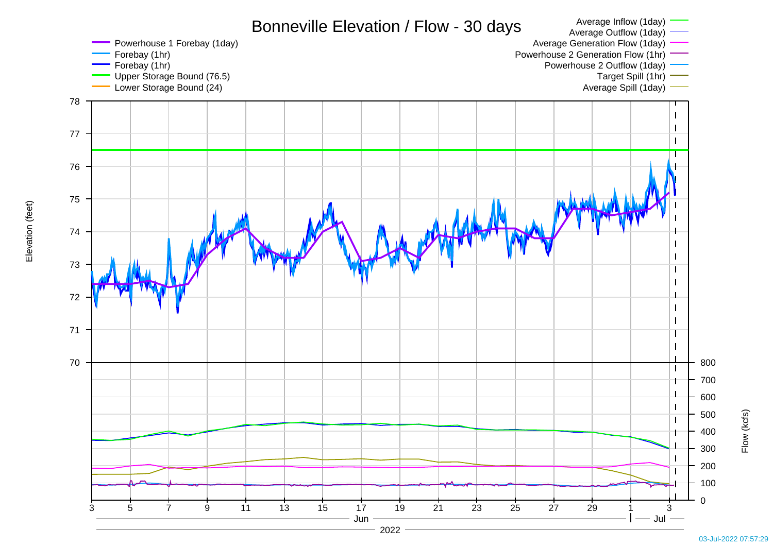

Elevation (feet) Elevation (feet)

03-Jul-2022 07:57:29

Flow (kcfs)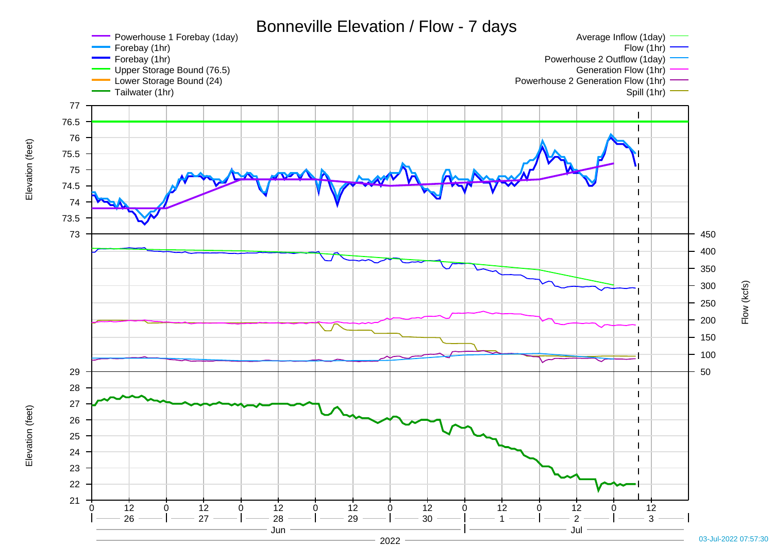

03-Jul-2022 07:57:30

2022

Elevation (feet)

Elevation (feet)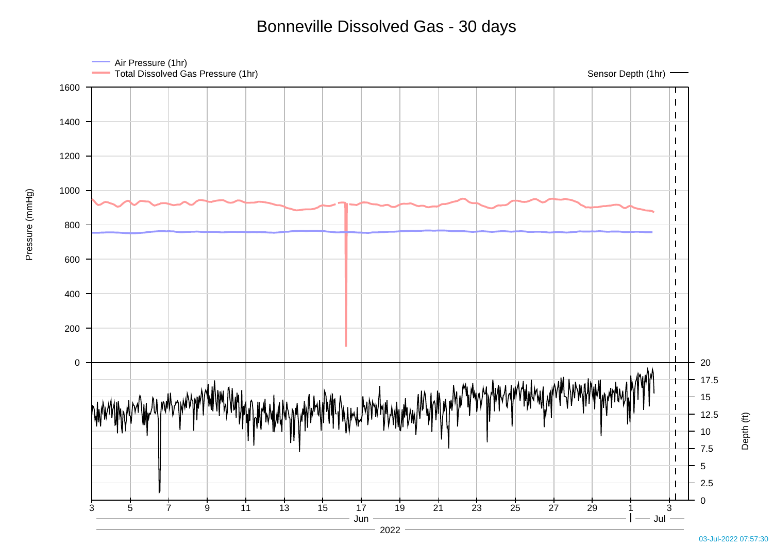Bonneville Dissolved Gas - 30 days



Pressure (mmHg)

Pressure (mmHg)

Depth (ft)